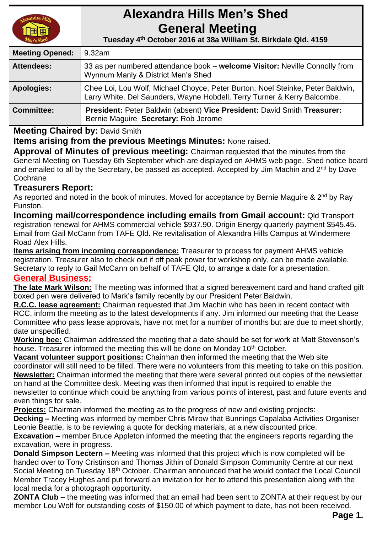

# **Alexandra Hills Men's Shed General Meeting**

 **Tuesday 4 th October 2016 at 38a William St. Birkdale Qld. 4159** 

| <b>Meeting Opened:</b> | 9.32am                                                                                                                                                     |
|------------------------|------------------------------------------------------------------------------------------------------------------------------------------------------------|
| <b>Attendees:</b>      | 33 as per numbered attendance book – welcome Visitor: Neville Connolly from<br>Wynnum Manly & District Men's Shed                                          |
| <b>Apologies:</b>      | Chee Loi, Lou Wolf, Michael Choyce, Peter Burton, Noel Steinke, Peter Baldwin,<br>Larry White, Del Saunders, Wayne Hobdell, Terry Turner & Kerry Balcombe. |
| <b>Committee:</b>      | President: Peter Baldwin (absent) Vice President: David Smith Treasurer:<br>Bernie Maguire Secretary: Rob Jerome                                           |

## **Meeting Chaired by:** David Smith

**Items arising from the previous Meetings Minutes:** None raised.

**Approval of Minutes of previous meeting:** Chairman requested that the minutes from the General Meeting on Tuesday 6th September which are displayed on AHMS web page, Shed notice board and emailed to all by the Secretary, be passed as accepted. Accepted by Jim Machin and 2<sup>nd</sup> by Dave **Cochrane** 

## **Treasurers Report:**

As reported and noted in the book of minutes. Moved for acceptance by Bernie Maguire & 2<sup>nd</sup> by Ray Funston.

**Incoming mail/correspondence including emails from Gmail account:** Qld Transport registration renewal for AHMS commercial vehicle \$937.90. Origin Energy quarterly payment \$545.45. Email from Gail McCann from TAFE Qld. Re revitalisation of Alexandra Hills Campus at Windermere Road Alex Hills.

**Items arising from incoming correspondence:** Treasurer to process for payment AHMS vehicle registration. Treasurer also to check out if off peak power for workshop only, can be made available. Secretary to reply to Gail McCann on behalf of TAFE Qld, to arrange a date for a presentation.

### **General Business:**

**The late Mark Wilson:** The meeting was informed that a signed bereavement card and hand crafted gift boxed pen were delivered to Mark's family recently by our President Peter Baldwin.

**R.C.C. lease agreement:** Chairman requested that Jim Machin who has been in recent contact with RCC, inform the meeting as to the latest developments if any. Jim informed our meeting that the Lease Committee who pass lease approvals, have not met for a number of months but are due to meet shortly, date unspecified.

**Working bee:** Chairman addressed the meeting that a date should be set for work at Matt Stevenson's house. Treasurer informed the meeting this will be done on Monday 10<sup>th</sup> October.

**Vacant volunteer support positions:** Chairman then informed the meeting that the Web site coordinator will still need to be filled. There were no volunteers from this meeting to take on this position. **Newsletter:** Chairman informed the meeting that there were several printed out copies of the newsletter on hand at the Committee desk. Meeting was then informed that input is required to enable the newsletter to continue which could be anything from various points of interest, past and future events and even things for sale.

**Projects:** Chairman informed the meeting as to the progress of new and existing projects: **Decking –** Meeting was informed by member Chris Mirow that Bunnings Capalaba Activities Organiser Leonie Beattie, is to be reviewing a quote for decking materials, at a new discounted price.

**Excavation –** member Bruce Appleton informed the meeting that the engineers reports regarding the excavation, were in progress.

**Donald Simpson Lectern –** Meeting was informed that this project which is now completed will be handed over to Tony Cristinson and Thomas Jithin of Donald Simpson Community Centre at our next Social Meeting on Tuesday 18<sup>th</sup> October. Chairman announced that he would contact the Local Council Member Tracey Hughes and put forward an invitation for her to attend this presentation along with the local media for a photograph opportunity.

**ZONTA Club –** the meeting was informed that an email had been sent to ZONTA at their request by our member Lou Wolf for outstanding costs of \$150.00 of which payment to date, has not been received.